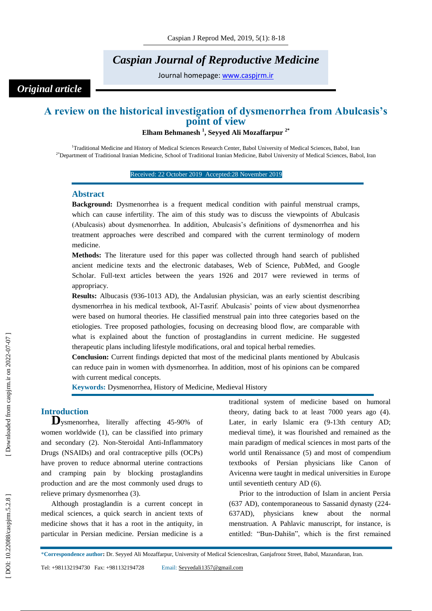# *Caspian Journal of Reproductive Medicine*

Journal homepage: [www.caspjrm.ir](http://www.caspjrm.ir/)

## *Original article*

# **A review on the historical investigation of dysmenorrhea from Abulcasis's point of view**

**Elham Behmanesh 1 , Seyyed Ali Mozaffarpur 2\***

<sup>1</sup>Traditional Medicine and History of Medical Sciences Research Center, Babol University of Medical Sciences, Babol, Iran <sup>2\*</sup>Department of Traditional Iranian Medicine, School of Traditional Iranian Medicine, Babol University of Medical Sciences, Babol, Iran

Received: 22 October 2019 Accepted: 28 November 2019

### **Abstract**

**Background:** Dysmenorrhea is a frequent medical condition with painful menstrual cramps, which can cause infertility. The aim of this study was to discuss the viewpoints of Abulcasis (Abulcasis) about dysmenorrhea. In addition, Abulcasis's definitions of dysmenorrhea and his treatment approaches were described and compared with the current terminology of modern medicine.

**Methods:** The literature used for this paper was collected through hand search of published ancient medicine texts and the electronic databases, Web of Science, PubMed, and Google Scholar. Full -text articles between the years 1926 and 2017 were reviewed in terms of appropriacy .

**Results:** Albucasis (936-1013 AD), the Andalusian physician, was an early scientist describing dysmenorrhea in his medical textbook, Al -Tasrif. Abulcasis' points of view about dysmenorrhea were based on humoral theories. He classified menstrual pain into three categories based on the etiologies. Tree proposed pathologies, focusing on decreasing blood flow, are comparable with what is explained about the function of prostaglandins in current medicine. He suggested therapeutic plans including lifestyle modifications, oral and topical herbal remedies.

**Conclusion:** Current findings depicted that most of the medicinal plants mentioned by Abulcasis can reduce pain in women with dysmenorrhea. In addition, most of his opinions can be compared with current medical concepts.

**Keywords:** Dysmenorrhea, History of Medicine, Medieval History

**Introduction <sup>D</sup>**ysmenorrhea, literally affecting 45 -90% of women worldwide (1), can be classified into primary and secondary (2). Non -Steroidal Anti -Inflammatory Drugs (NSAIDs) and oral contraceptive pills (OCPs) have proven to reduce abnormal uterine contractions and cramping pain by blocking prostaglandins production and are the most commonly used drugs to relieve primary dysmenorrhea (3).

Although prostaglandin is a current concept in medical sciences, a quick search in ancient texts of medicine shows that it has a root in the antiquity, in particular in Persian medicine. Persian medicine is a traditional system of medicine based on humoral theory, dating back to at least 7000 years ago (4). Later, in early Islamic era (9-13th century AD; medieval time), it was flourished and remained as the main paradigm of medical sciences in most parts of the world until Renaissance (5) and most of compendium textbooks of Persian physicians like Canon of Avicenna were taught in medical universities in Europe until seventieth century AD (6).

Prior to the introduction of Islam in ancient Persia (637 AD), contemporaneous to Sassanid dynasty (224 - 637AD), physicians knew about the normal menstruation. A Pahlavic manuscript, for instance, is entitled: "Bun -Dahišn", which is the first remained

<sup>\*</sup>**Correspondence author :** Dr. Seyyed Ali Mozaffarpur, University of Medical SciencesIran, Ganjafrooz Street, Babol, Mazandaran, Iran.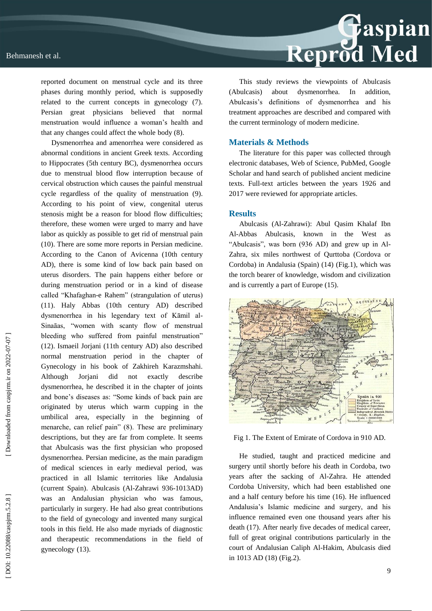

reported document on menstrual cycle and its three phases during monthly period, which is supposedly related to the current concepts in gynecology (7). Persian great physicians believed that normal menstruation would influence a woman's health and that any changes could affect the whole body (8).

Dysmenorrhea and amenorrhea were considered as abnormal conditions in ancient Greek texts. According to Hippocrates (5th century BC), dysmenorrhea occurs due to menstrual blood flow interruption because of cervical obstruction which causes the painful menstrual cycle regardless of the quality of menstruation (9). According to his point of view, congenital uterus stenosis might be a reason for blood flow difficulties; therefore, these women were urged to marry and have labor as quickly as possible to get rid of menstrual pain (10). There are some more reports in Persian medicine. According to the Canon of Avicenna (10th century AD), there is some kind of low back pain based on uterus disorders. The pain happens either before or during menstruation period or in a kind of disease called "Khafaghan -e Rahem" (strangulation of uterus) (11). Haly Abbas (10th century AD) described dysmenorrhea in his legendary text of Kāmil al - Sinaāas, "women with scanty flow of menstrual bleeding who suffered from painful menstruation" (12). Ismaeil Jorjani (11th century AD) also described normal menstruation period in the chapter of Gynecology in his book of Zakhireh Karazmshahi. Although Jorjani did not exactly describe dysmenorrhea, he described it in the chapter of joints and bone's diseases as: "Some kinds of back pain are originated by uterus which warm cupping in the umbilical area, especially in the beginning of menarche, can relief pain" (8). These are preliminary descriptions, but they are far from complete. It seems that Abulcasis was the first physician who proposed dysmenorrhea. Persian medicine, as the main paradigm of medical sciences in early medieval period, was practiced in all Islamic territories like Andalusia (current Spain). Abulcasis (Al -Zahrawi 936 -1013AD) was an Andalusian physician who was famous, particularly in surgery. He had also great contributions to the field of gynecology and invented many surgical tools in this field. He also made myriads of diagnostic and therapeutic recommendations in the field of gynecology (13).

This study reviews the viewpoints of Abulcasis (Abulcasis) about dysmenorrhea. In addition, Abulcasis's definitions of dysmenorrhea and his treatment approaches are described and compared with the current terminology of modern medicine.

### **Materials & Methods**

The literature for this paper was collected through electronic databases, Web of Science, PubMed, Google Scholar and hand search of published ancient medicine texts. Full -text articles between the years 1926 and 2017 were reviewed for appropriate articles.

### **Results**

Abulcasis (Al -Zahrawi): Abul Qasim Khalaf Ibn Al - Abbas Abulcasis, known in the West as "Abulcasis", was born (936 AD) and grew up in Al - Zahra, six miles northwest of Qurttoba (Cordova or Cordoba) in Andalusia (Spain) (14) (Fig.1), which was the torch bearer of knowledge, wisdom and civilization and is currently a part of Europe (15).



Fig 1. The Extent of Emirate of Cordova in 910 AD.

He studied, taught and practiced medicine and surgery until shortly before his death in Cordoba, two years after the sacking of Al -Zahra. He attended Cordoba University, which had been established one and a half century before his time (16). He influenced Andalusia's Islamic medicine and surgery, and his influence remained even one thousand years after his death (17). After nearly five decades of medical career, full of great original contributions particularly in the court of Andalusian Caliph Al -Hakim, Abulcasis died in 1013 AD (18) (Fig.2).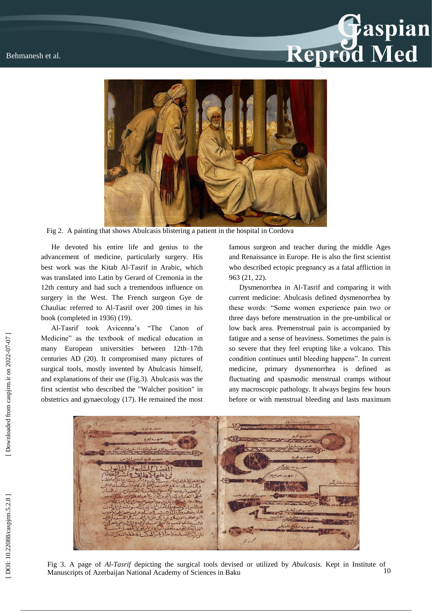# **Gaspian**<br>Reprod Med



Fig 2. A painting that shows Abulcasis blistering a patient in the hospital in Cordova

He devoted his entire life and genius to the advancement of medicine, particularly surgery. His best work was the Kitab Al -Tasrif in Arabic, which was translated into Latin by Gerard of Cremonia in the 12th century and had such a tremendous influence on surgery in the West. The French surgeon Gye de Chauliac referred to Al -Tasrif over 200 times in his book (completed in 1936) (19).

Al -Tasrif took Avicenna's "The Canon of Medicine" as the textbook of medical education in many European universities between 12th –17th centuries AD (20). It compromised many pictures of surgical tools, mostly invented by Abulcasis himself, and explanations of their use (Fig.3). Abulcasis was the first scientist who described the "Walcher position" in obstetrics and gynaecology (17). He remained the most

famous surgeon and teacher during the middle Ages and Renaissance in Europe. He is also the first scientist who described ectopic pregnancy as a fatal affliction in 963 (21, 22).

Dysmenorrhea in Al -Tasrif and comparing it with current medicine: Abulcasis defined dysmenorrhea by these words: "Some women experience pain two or three days before menstruation in the pre -umbilical or low back area. Premenstrual pain is accompanied by fatigue and a sense of heaviness. Sometimes the pain is so severe that they feel erupting like a volcano. This condition continues until bleeding happens". In current medicine, primary dysmenorrhea is defined as fluctuating and spasmodic menstrual cramps without any macroscopic pathology. It always begins few hours before or with menstrual bleeding and lasts maximum



10 Fig 3. A page of *Al -Tasrif* depicting the surgical tools devised or utilized by *Abulcasis .* Kept in Institute of Manuscripts of Azerbaijan National Academy of Sciences in Baku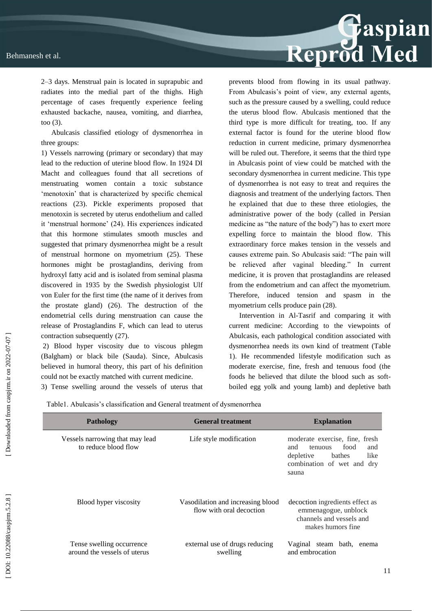

2–3 days. Menstrual pain is located in suprapubic and radiates into the medial part of the thighs. High percentage of cases frequently experience feeling exhausted backache, nausea, vomiting, and diarrhea, too (3).

Abulcasis classified etiology of dysmenorrhea in three groups:

1) Vessels narrowing (primary or secondary) that may lead to the reduction of uterine blood flow. In 1924 DI Macht and colleagues found that all secretions of menstruating women contain a toxic substance 'menotoxin' that is characterized by specific chemical reactions (23). Pickle experiments proposed that menotoxin is secreted by uterus endothelium and called it 'menstrual hormone' (24). His experiences indicated that this hormone stimulates smooth muscles and suggested that primary dysmenorrhea might be a result of menstrual hormone on myometrium (25). These hormones might be prostaglandins, deriving from hydroxyl fatty acid and is isolated from seminal plasma discovered in 1935 by the Swedish physiologist Ulf von Euler for the first time (the name of it derives from the prostate gland) (26). The destruction of the endometrial cells during menstruation can cause the release of Prostaglandins F, which can lead to uterus contraction subsequently (27).

2) Blood hyper viscosity due to viscous phlegm (Balgham) or black bile (Sauda). Since , Abulcasis believed in humoral theory, this part of his definition could not be exactly matched with current medicine.

3) Tense swelling around the vessels of uterus that

prevents blood from flowing in its usual pathway. From Abulcasis's point of view, any external agents, such as the pressure caused by a swelling, could reduce the uterus blood flow. Abulcasis mentioned that the third type is more difficult for treating, too. If any external factor is found for the uterine blood flow reduction in current medicine, primary dysmenorrhea will be ruled out. Therefore, it seems that the third type in Abulcasis point of view could be matched with the secondary dysmenorrhea in current medicine. This type of dysmenorrhea is not easy to treat and requires the diagnosis and treatment of the underlying factors. Then he explained that due to these three etiologies, the administrative power of the body (called in Persian medicine as "the nature of the body") has to exert more expelling force to maintain the blood flow. This extraordinary force makes tension in the vessels and causes extreme pain. So Abulcasis said: "The pain will be relieved after vaginal bleeding." In current medicine, it is proven that prostaglandins are released from the endometrium and can affect the myometrium. Therefore, induced tension and spasm in the myometrium cells produce pain (28).

Intervention in Al -Tasrif and comparing it with current medicine: According to the viewpoints of Abulcasis, each pathological condition associated with dysmenorrhea needs its own kind of treatment (Table 1). He recommended lifestyle modification such as moderate exercise, fine, fresh and tenuous food (the foods he believed that dilute the blood such as soft boiled egg yolk and young lamb) and depletive bath

Table1. Abulcasis's classification and General treatment of dysmenorrhea

| Pathology                                                 | <b>General treatment</b>                                      | <b>Explanation</b>                                                                                                                    |  |  |
|-----------------------------------------------------------|---------------------------------------------------------------|---------------------------------------------------------------------------------------------------------------------------------------|--|--|
| Vessels narrowing that may lead<br>to reduce blood flow   | Life style modification                                       | moderate exercise, fine, fresh<br>food<br>and<br>and<br>tenuous<br>like<br>depletive<br>bathes<br>combination of wet and dry<br>sauna |  |  |
| Blood hyper viscosity                                     | Vasodilation and increasing blood<br>flow with oral decoction | decoction ingredients effect as<br>emmenagogue, unblock<br>channels and vessels and<br>makes humors fine                              |  |  |
| Tense swelling occurrence<br>around the vessels of uterus | external use of drugs reducing<br>swelling                    | Vaginal steam bath,<br>enema<br>and embrocation                                                                                       |  |  |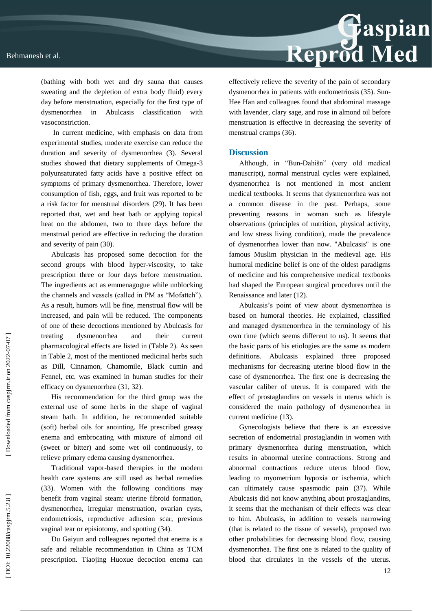

(bathing with both wet and dry sauna that causes sweating and the depletion of extra body fluid) every day before menstruation, especially for the first type of dysmenorrhea in Abulcasis classification with vasoconstriction.

In current medicine, with emphasis on data from experimental studies, moderate exercise can reduce the duration and severity of dysmenorrhea (3). Several studies showed that dietary supplements of Omega -3 polyunsaturated fatty acids have a positive effect on symptoms of primary dysmenorrhea. Therefore, lower consumption of fish, eggs, and fruit was reported to be a risk factor for menstrual disorders (29). It has been reported that, wet and heat bath or applying topical heat on the abdomen, two to three days before the menstrual period are effective in reducing the duration and severity of pain (30).

Abulcasis has proposed some decoction for the second groups with blood hyper -viscosity, to take prescription three or four days before menstruation. The ingredients act as emmenagogue while unblocking the channels and vessels (called in PM as "Mofatteh"). As a result, humors will be fine, menstrual flow will be increased, and pain will be reduced. The components of one of these decoctions mentioned by Abulcasis for treating dysmenorrhea and their current pharmacological effects are listed in (Table 2). As seen in Table 2, most of the mentioned medicinal herbs such as Dill, Cinnamon, Chamomile, Black cumin and Fennel, etc. was examined in human studies for their efficacy on dysmenorrhea (31, 32).

His recommendation for the third group was the external use of some herbs in the shape of vaginal steam bath. In addition, he recommended suitable (soft) herbal oils for anointing. He prescribed greasy enema and embrocating with mixture of almond oil (sweet or bitter) and some wet oil continuously, to relieve primary edema causing dysmenorrhea.

Traditional vapor -based therapies in the modern health care systems are still used as herbal remedies (33). Women with the following conditions may benefit from vaginal steam: uterine fibroid formation, dysmenorrhea, irregular menstruation, ovarian cysts, endometriosis, reproductive adhesion scar, previous vaginal tear or episiotomy, and spotting (34).

Du Gaiyun and colleagues reported that enema is a safe and reliable recommendation in China as TCM prescription. Tiaojing Huoxue decoction enema can effectively relieve the severity of the pain of secondary dysmenorrhea in patients with endometriosis (35). Sun - Hee Han and colleagues found that abdominal massage with lavender, clary sage, and rose in almond oil before menstruation is effective in decreasing the severity of menstrual cramps (36).

### **Discussion**

Although, in "Bun -Dahišn" (very old medical manuscript), normal menstrual cycles were explained, dysmenorrhea is not mentioned in most ancient medical textbooks. It seems that dysmenorrhea was not a common disease in the past. Perhaps, some preventing reasons in woman such as lifestyle observations (principles of nutrition, physical activity, and low stress living condition), made the prevalence of dysmenorrhea lower than now. "Abulcasis" is one famous Muslim physician in the medieval age. His humoral medicine belief is one of the oldest paradigms of medicine and his comprehensive medical textbooks had shaped the European surgical procedures until the Renaissance and later (12).

Abulcasis's point of view about dysmenorrhea is based on humoral theories. He explained, classified and managed dysmenorrhea in the terminology of his own time (which seems different to us). It seems that the basic parts of his etiologies are the same as modern definitions. Abulcasis explained three proposed mechanisms for decreasing uterine blood flow in the case of dysmenorrhea. The first one is decreasing the vascular caliber of uterus. It is compared with the effect of prostaglandins on vessels in uterus which is considered the main pathology of dysmenorrhea in current medicine (13).

Gynecologists believe that there is an excessive secretion of endometrial prostaglandin in women with primary dysmenorrhea during menstruation, which results in abnormal uterine contractions. Strong and abnormal contractions reduce uterus blood flow, leading to myometrium hypoxia or ischemia, which can ultimately cause spasmodic pain (37). While Abulcasis did not know anything about prostaglandins, it seems that the mechanism of their effects was clear to him. Abulcasis, in addition to vessels narrowing (that is related to the tissue of vessels), proposed two other probabilities for decreasing blood flow, causing dysmenorrhea. The first one is related to the quality of blood that circulates in the vessels of the uterus.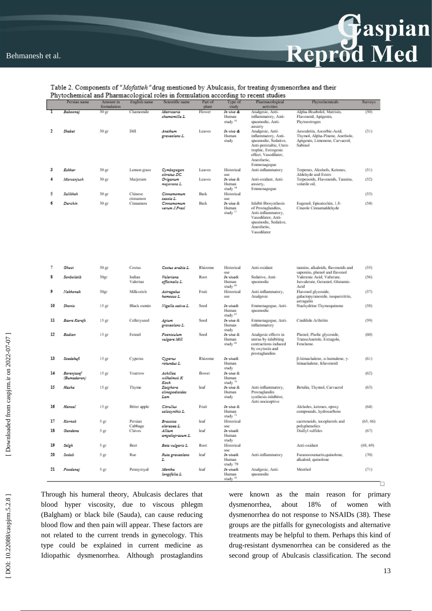

### Table 2. Components of "Mofatteh" drug mentioned by Abulcasis, for treating dysmenorrhea and their Phytochemical and Pharmacological roles in formulation according to recent studies

|    | Persian name              | Amount in         | English name        | Scientific name                          | Part of     | Type of                                   | Pharmacological                                                                                                                                                                    | Phytochemicals                                                                                             | Surveys  |
|----|---------------------------|-------------------|---------------------|------------------------------------------|-------------|-------------------------------------------|------------------------------------------------------------------------------------------------------------------------------------------------------------------------------------|------------------------------------------------------------------------------------------------------------|----------|
|    |                           | formulation       |                     |                                          | plant       | study                                     | activities                                                                                                                                                                         |                                                                                                            |          |
|    | Βαδοοπαί                  | 30 ஜ              | Chamomile           | Matricaria<br>chamomilla L.              | Flower      | In vivo de<br>Human<br>study 50           | Analgesic, Anti-<br>inflammatory, Anti-<br>spasmodie, Anti-                                                                                                                        | Alpha-Bisabolol, Matrisin,<br>Flavonoid, Apigenin,<br>Phytoestrogen                                        | (50)     |
| 2  | Skabet                    | $30\,\mathrm{gr}$ | Dill                | Anathum<br>graveolans L.                 | Leaves      | In vivo &<br>Human<br>study               | anxiety<br>Analgesic, Anti-<br>inflammatory, Anti-<br>spasmodie, Sedative,<br>Anti-peristaltic, Utero<br>trophie, Estrogenie<br>effect, Vasodilator,<br>Anesthetic.<br>Emmenagogue | Aesculetin, Ascorbic-Acid,<br>Thymol, Alpha-Pinene, Anethole,<br>Apigenin, Limonene, Carvaerol,<br>Sabinol | (31)     |
| з  | Ezkhar                    | 30 ஜ              | Lemon grass         | Cymbopogon<br>citratus DC.               | Leaves      | Historical<br>uppe-                       | Anti-inflammatory                                                                                                                                                                  | Terpenes, Alcohols, Ketones,<br>Aldehyde and Esters                                                        | (51)     |
|    | Marzanjusk                | $30\,\mathrm{gr}$ | Marjoram            | Origanum<br>majorana L.                  | Leaves      | In vivo &<br>Human<br>study <sup>54</sup> | Anti-exidant, Anti-<br>anxiety,<br>Emmenagogue                                                                                                                                     | Terpenoids, Flavonoids, Tannins,<br>volatile oil,                                                          | (52)     |
| 5  | Salikhah                  | $30\,\mathrm{gr}$ | Chinese<br>cinnamon | Сіппататит<br>cassia L.                  | <b>Bark</b> | Historical<br>use                         |                                                                                                                                                                                    |                                                                                                            | (53)     |
| 6  | Darchin                   | 30 ஜா             | Cinnamon            | Сілламамим<br>verum J.Presi              | Bark        | In vivo &<br>Human<br>study <sup>57</sup> | Inhibit Biosynthesis<br>of Prostaglandins,<br>Anti-inflammatory,<br>Vasodilator, Anti-<br>spasmodie, Sedative,<br>Anesthetic,<br>Vasodilator                                       | Eugenol, Epicatechin, 1,8-<br>Cineole Cinnamaldehyde                                                       | (54)     |
| 7  | Ghast                     | 30 ஜா             | Costus              | Costus arabia L.                         | Rhizome     | Historical<br>use                         | Anti-oxidant                                                                                                                                                                       | tannins, alkaloids, flavonoids and<br>saponins, phenol and flavonol                                        | (55)     |
| s  | Sonboletib                | $30\text{yr}$     | Indian<br>Valerian  | Valeriana<br>officinalis L.              | Root        | In vivo&<br>Human<br>study <sup>60</sup>  | Sedative, Anti-<br>spasmodie                                                                                                                                                       | Valerenic Acid, Valterate,<br>Isovalerate, Geraniol, Glutamic-<br>Acid                                     | (56)     |
| 9  | Nakkonak                  | $30\text{gr}$     | Milkvetch           | Astragalus<br>kamasus L.                 | Fruit       | Historical<br>use                         | Anti-inflammatory,<br>Analgesic                                                                                                                                                    | Flavonol glycoside,<br>galactopyranoside, isoquercitrin,<br>astragalin                                     | (57)     |
| 10 | Shomiz                    | 15 gr             | Black cumin         | Nigella sativa L.                        | Seed        | In vivo&<br>Human<br>study <sup>63</sup>  | Emmenagogue, Anti-<br>spasmodie                                                                                                                                                    | Stachydrine Thymoquinone                                                                                   | (58)     |
| 11 | Bazre Karafs              | $15\,\mathrm{gr}$ | Celleryseed         | Apium<br>graveolans L.                   | Seed        | In vivo &<br>Human<br>study               | Emmenagogue, Anti-<br>inflammatory                                                                                                                                                 | Cnidilide Arthritin                                                                                        | (59)     |
| 12 | Badian                    | 15 <sub>ST</sub>  | Femnel              | Foaniculum<br>vulgare Mill               | Seed        | In vivo &<br>Human<br>study <sup>66</sup> | Analgesic effects in<br>uterus by inhibiting<br>contractions induced<br>by oxytoein and<br>prostaglandins                                                                          | Phenol, Pholic glycoside,<br>TranseAnetole, Estragole,<br>Fenchone.                                        | (60)     |
| 13 | Soedekuft                 | 15 gr             | Cyperus             | Cyperus<br>rotundus L.                   | Rhizome     | In vivo&<br>Human<br>study                |                                                                                                                                                                                    | ß-himachalene, o-humulene, y-<br>himachalene, felavenoid                                                   | (61)     |
| 14 | Barenjasef<br>(Bumadaran) | 15 gr             | Yourrow             | Achillea<br>wilhelmsii K<br>Kock         | flower      | In vivo &<br>Human<br>study <sup>70</sup> |                                                                                                                                                                                    |                                                                                                            | (62)     |
| 15 | Haska                     | 15 <sub>ST</sub>  | Thyme               | Zizighora<br>clinopodioides<br>Lam       | leaf        | In vivo &<br>Human<br>study               | Anti-inflammatory,<br>Prostaglandin<br>synthesis-inhibitor,<br>Anti-nocioeptive                                                                                                    | Betulin, Thymol, Carvacrol                                                                                 | (63)     |
| 16 | Hanzai                    | 15 gr             | Bitter apple        | Citradius<br>colocynthis L.              | Fruit       | In vivo &<br>Human<br>study <sup>72</sup> |                                                                                                                                                                                    | Alcholes, ketones, epoxy<br>compounds, hydrocarbons                                                        | (64)     |
| 17 | Kornob                    | 5 gr              | Persian             | Brazzica                                 | leaf        | Historical                                |                                                                                                                                                                                    | carotenoids, tocopherols and                                                                               | (65, 66) |
| 18 | Gandana                   | 5 gr              | Cabbage<br>Chives   | oleracea L.<br>Allium<br>ampelograsum L. | leaf        | use<br>In vivo&<br>Human<br>study         |                                                                                                                                                                                    | polyphenolics<br>Diallyl sulfides                                                                          | (67)     |
| 19 | Seigh                     | 5 gr              | Beet                | Beta vulgaris L.                         | Root        | Historical<br>use                         |                                                                                                                                                                                    | Anti-oxidant                                                                                               | (68, 69) |
| 20 | Sedab                     | 5 gr              | Rue                 | Ruta gravdolans<br>L.                    | leaf        | In vivo&<br>Human<br>study 79             | Anti-inflammatory                                                                                                                                                                  | Furanocoumarin,quinolone,<br>alkaloid, quinolone                                                           | (70)     |
| 21 | Foodanaj                  | 5 gr              | Pennyroyal          | Mantha<br>longifolia L.                  | leaf        | In vivo&<br>Human<br>study <sup>50</sup>  | Analgesic, Anti-<br>spasmodie                                                                                                                                                      | Menthol                                                                                                    | (71)     |

Through his humeral theory, Abulcasis declares that blood hyper viscosity, due to viscous phlegm (Balgham) or black bile (Sauda), can cause reducing blood flow and then pain will appear. These factors are not related to the current trends in gynecology. This type could be explained in current medicine as Idiopathic dysmenorrhea. Although prostaglandins were known as the main reason for primary dysmenorrhea, about 18% of women with dysmenorrhea do not response to NSAIDs (38). These groups are the pitfalls for gynecologists and alternative treatments may be helpful to them. Perhaps this kind of drug -resistant dysmenorrhea can be considered as the second group of Abulcasis classification. The second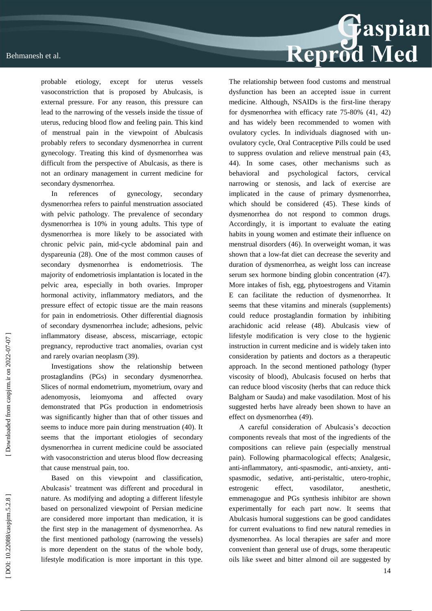probable etiology, except for uterus vessels vasoconstriction that is proposed by Abulcasis, is

external pressure. For any reason, this pressure can lead to the narrowing of the vessels inside the tissue of uterus, reducing blood flow and feeling pain. This kind of menstrual pain in the viewpoint of Abulcasis probably refers to secondary dysmenorrhea in current gynecology. Treating this kind of dysmenorrhea was difficult from the perspective of Abulcasis, as there is not an ordinary management in current medicine for secondary dysmenorrhea.

In references of gynecology, secondary dysmenorrhea refers to painful menstruation associated with pelvic pathology. The prevalence of secondary dysmenorrhea is 10% in young adults. This type of dysmenorrhea is more likely to be associated with chronic pelvic pain, mid -cycle abdominal pain and dyspareunia (28). One of the most common causes of secondary dysmenorrhea is endometriosis. The majority of endometriosis implantation is located in the pelvic area, especially in both ovaries. Improper hormonal activity, inflammatory mediators, and the pressure effect of ectopic tissue are the main reasons for pain in endometriosis. Other differential diagnosis of secondary dysmenorrhea include; adhesions, pelvic inflammatory disease, abscess, miscarriage, ectopic pregnancy, reproductive tract anomalies, ovarian cyst and rarely ovarian neoplasm (39).

Investigations show the relationship between prostaglandins (PGs) in secondary dysmenorrhea. Slices of normal endometrium, myometrium, ovary and adenomyosis, leiomyoma and affected ovary demonstrated that PGs production in endometriosis was significantly higher than that of other tissues and seems to induce more pain during menstruation (40). It seems that the important etiologies of secondary dysmenorrhea in current medicine could be associated with vasoconstriction and uterus blood flow decreasing that cause menstrual pain, too.

Based on this viewpoint and classification, Abulcasis' treatment was different and procedural in nature. As modifying and adopting a different lifestyle based on personalized viewpoint of Persian medicine are considered more important than medication, it is the first step in the management of dysmenorrhea. As the first mentioned pathology (narrowing the vessels) is more dependent on the status of the whole body, lifestyle modification is more important in this type.



for dysmenorrhea with efficacy rate 75 -80% (41, 42) and ha s widely been recommended to women with ovulatory cycles. In individuals diagnosed with un ovulatory cycle, Oral Contraceptive Pills could be used to suppress ovulation and relieve menstrual pain (43, 44). In some cases, other mechanisms such as behavioral and psychological factors, cervical narrowing or stenosis, and lack of exercise are implicated in the cause of primary dysmenorrhea, which should be considered (45). These kinds of dysmenorrhea do not respond to common drugs. Accordingly, it is important to evaluate the eating habits in young women and estimate their influence on menstrual disorders (46). In overweight woman, it was shown that a low -fat diet can decrease the severity and duration of dysmenorrhea, as weight loss can increase serum sex hormone binding globin concentration (47). More intakes of fish, egg, phytoestrogens and Vitamin E can facilitate the reduction of dysmenorrhea. It seems that these vitamins and minerals (supplements) could reduce prostaglandin formation by inhibiting arachidonic acid release (48). Abulcasis view of lifestyle modification is very close to the hygienic instruction in current medicine and is widely taken into consideration by patients and doctors as a therapeutic approach. In the second mentioned pathology (hyper viscosity of blood), Abulcasis focused on herbs that can reduce blood viscosity (herbs that can reduce thick Balgham or Sauda) and make vasodilation. Most of his suggested herbs have already been shown to have an effect on dysmenorrhea (49).

A careful consideration of Abulcasis's decoction components reveals that most of the ingredients of the compositions can relieve pain (especially menstrual pain). Following pharmacological effects; Analgesic, anti-inflammatory, anti-spasmodic, anti-anxiety, antispasmodic, sedative, anti -peristaltic, utero -trophic, estrogenic effect, vasodilator, anesthetic, emmenagogue and PGs synthesis inhibitor are shown experimentally for each part now. It seems that Abulcasis humoral suggestions can be good candidates for current evaluations to find new natural remedies in dysmenorrhea. As local therapies are safer and more convenient than general use of drugs, some therapeutic oils like sweet and bitter almond oil are suggested by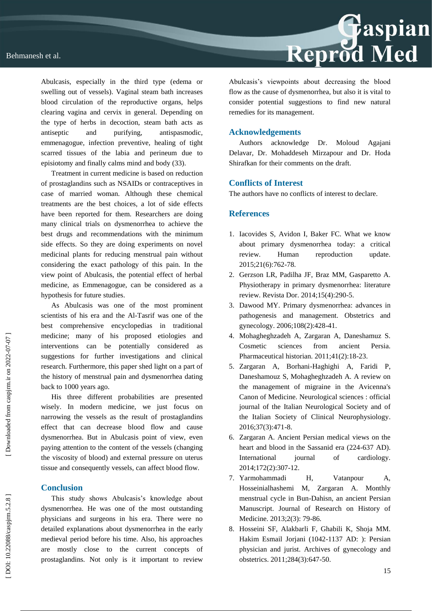

Treatment in current medicine is based on reduction of prostaglandins such as NSAIDs or contraceptives in case of married woman. Although these chemical treatments are the best choices, a lot of side effects have been reported for them. Researchers are doing many clinical trials on dysmenorrhea to achieve the best drugs and recommendations with the minimum side effects. So they are doing experiments on novel medicinal plants for reducing menstrual pain without considering the exact pathology of this pain. In the view point of Abulcasis, the potential effect of herbal medicine, as Emmenagogue, can be considered as a hypothesis for future studies.

As Abulcasis was one of the most prominent scientists of his era and the Al -Tasrif was one of the best comprehensive encyclopedias in traditional medicine; many of his proposed etiologies and interventions can be potentially considered as suggestions for further investigations and clinical research. Furthermore, this paper shed light on a part of the history of menstrual pain and dysmenorrhea dating back to 1000 years ago.

His three different probabilities are presented wisely. In modern medicine, we just focus on narrowing the vessels as the result of prostaglandins effect that can decrease blood flow and cause dysmenorrhea. But in Abulcasis point of view, even paying attention to the content of the vessels (changing the viscosity of blood) and external pressure on uterus tissue and consequently vessels, can affect blood flow.

### **Conclusion**

This study shows Abulcasis's knowledge about dysmenorrhea. He was one of the most outstanding physicians and surgeons in his era. There were no detailed explanations about dysmenorrhea in the early medieval period before his time. Also, his approaches are mostly close to the current concepts of prostaglandins. Not only is it important to review



Abulcasis's viewpoints about decreasing the blood flow as the cause of dysmenorrhea, but also it is vital to consider potential suggestions to find new natural remedies for its management.

### **Acknowledgements**

Authors acknowledge Dr. Moloud Agajani Delavar, Dr. Mohaddeseh Mirzapour and Dr. Hoda Shirafkan for their comments on the draft.

### **Conflicts of Interest**

The authors have no conflicts of interest to declare.

### **References**

- 1. Iacovides S, Avidon I, Baker FC. What we know about primary dysmenorrhea today: a critical review. Human reproduction update. 2015;21(6):762 -78.
- 2. Gerzson LR, Padilha JF, Braz MM, Gasparetto A. Physiotherapy in primary dysmenorrhea: literature review. Revista Dor. 2014;15(4):290 -5.
- 3. Dawood MY. Primary dysmenorrhea: advances in pathogenesis and management. Obstetrics and gynecology. 2006;108(2):428 -41.
- 4. Mohagheghzadeh A, Zargaran A, Daneshamuz S. Cosmetic sciences from ancient Persia. Pharmaceutical historian. 2011;41(2):18-23.
- 5. Zargaran A, Borhani -Haghighi A, Faridi P, Daneshamouz S, Mohagheghzadeh A. A review on the management of migraine in the Avicenna's Canon of Medicine. Neurological sciences : official journal of the Italian Neurological Society and of the Italian Society of Clinical Neurophysiology. 2016;37(3):471 -8.
- 6. Zargaran A. Ancient Persian medical views on the heart and blood in the Sassanid era (224-637 AD). International journal of cardiology. 2014;172(2):307 -12.
- 7. Yarmohammadi H, Vatanpour A, Hosseinialhashemi M, Zargaran A. Monthly menstrual cycle in Bun -Dahisn, an ancient Persian Manuscript. Journal of Research on History of Medicine. 2013;2(3): 79 -86.
- 8. Hosseini SF, Alakbarli F, Ghabili K, Shoja MM. Hakim Esmail Jorjani (1042 -1137 AD: ): Persian physician and jurist. Archives of gynecology and obstetrics. 2011;284(3):647 -50.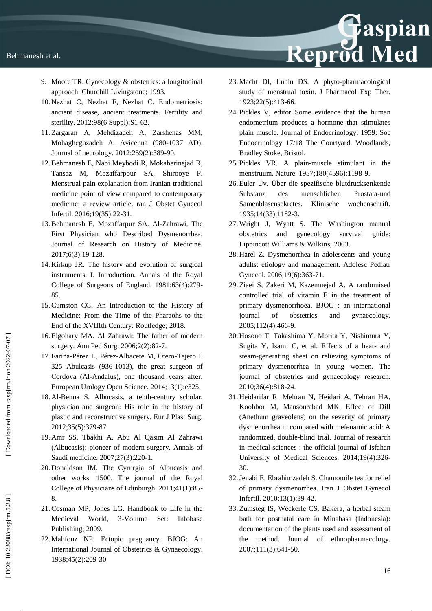- 9. Moore TR. Gynecology & obstetrics: a longitudinal approach: Churchill Livingstone; 1993.
- 10. Nezhat C, Nezhat F, Nezhat C. Endometriosis: ancient disease, ancient treatments. Fertility and sterility. 2012;98(6 Suppl):S1-62.
- 11. Zargaran A, Mehdizadeh A, Zarshenas MM, Mohagheghzadeh A. Avicenna (980 -1037 AD). Journal of neurology. 2012;259(2):389 -90.
- 12.Behmanesh E, Nabi Meybodi R, Mokaberinejad R, Tansaz M, Mozaffarpour SA, Shirooye P. Menstrual pain explanation from Iranian traditional medicine point of view compared to contemporary medicine: a review article. ran J Obstet Gynecol Infertil. 2016;19(35):22 -31.
- 13.Behmanesh E, Mozaffarpur SA. Al -Zahrawi, The First Physician who Described Dysmenorrhea. Journal of Research on History of Medicine. 2017;6(3):19 -128.
- 14. Kirkup JR. The history and evolution of surgical instruments. I. Introduction. Annals of the Royal College of Surgeons of England. 1981;63(4):279 - 85.
- 15.Cumston CG. An Introduction to the History of Medicine: From the Time of the Pharaohs to the End of the XVIIIth Century: Routledge; 2018.
- 16. Elgohary MA. Al Zahrawi: The father of modern surgery. Ann Ped Surg. 2006;2(2):82 -7.
- 17. Fariña -Pérez L, Pérez -Albacete M, Otero -Tejero I. 325 Abulcasis (936 -1013), the great surgeon of Cordova (Al -Andalus), one thousand years after. European Urology Open Science. 2014;13(1):e325.
- 18. Al -Benna S. Albucasis, a tenth -century scholar, physician and surgeon: His role in the history of plastic and reconstructive surgery. Eur J Plast Surg. 2012;35(5):379 -87.
- 19. Amr SS, Tbakhi A. Abu Al Qasim Al Zahrawi (Albucasis): pioneer of modern surgery. Annals of Saudi medicine. 2007;27(3):220 -1.
- 20. Donaldson IM. The Cyrurgia of Albucasis and other works, 1500. The journal of the Royal College of Physicians of Edinburgh. 2011;41(1):85 - 8.
- 21.Cosman MP, Jones LG. Handbook to Life in the Medieval World, -Volume Set: Infobase Publishing; 2009.
- 22. Mahfouz NP. Ectopic pregnancy. BJOG: An International Journal of Obstetrics & Gynaecology. 1938;45(2):209 -30.

23. Macht DI, Lubin DS. A phyto -pharmacological study of menstrual toxin. J Pharmacol Exp Ther. 1923;22(5):413 -66.

Reprod Med

- 24. Pickles V, editor Some evidence that the human endometrium produces a hormone that stimulates plain muscle. Journal of Endocrinology; 1959: Soc Endocrinology 17/18 The Courtyard, Woodlands, Bradley Stoke, Bristol.
- 25. Pickles VR. A plain -muscle stimulant in the menstruum. Nature. 1957;180(4596):1198 -9.
- 26. Euler Uv. Über die spezifische blutdrucksenkende Substanz des menschlichen Prostata-und Samenblasensekretes. Klinische wochenschrift. 1935;14(33):1182 -3.
- 27. Wright J, Wyatt S. The Washington manual obstetrics and gynecology survival guide: Lippincott Williams & Wilkins; 2003.
- 28. Harel Z. Dysmenorrhea in adolescents and young adults: etiology and management. Adolesc Pediatr Gynecol. 2006;19(6):363 -71.
- 29. Ziaei S, Zakeri M, Kazemnejad A. A randomised controlled trial of vitamin E in the treatment of primary dysmenorrhoea. BJOG : an international journal of obstetrics and gynaecology. 2005;112(4):466 -9.
- 30. Hosono T, Takashima Y, Morita Y, Nishimura Y, Sugita Y, Isami C, et al. Effects of a heat- and steam -generating sheet on relieving symptoms of primary dysmenorrhea in young women. The journal of obstetrics and gynaecology research. 2010;36(4):818 -24.
- 31. Heidarifar R, Mehran N, Heidari A, Tehran HA, Koohbor M, Mansourabad MK. Effect of Dill (Anethum graveolens) on the severity of primary dysmenorrhea in compared with mefenamic acid: A randomized, double -blind trial. Journal of research in medical sciences : the official journal of Isfahan University of Medical Sciences. 2014;19(4):326- $30<sup>2</sup>$
- 32.Jenabi E, Ebrahimzadeh S. Chamomile tea for relief of primary dysmenorrhea. Iran J Obstet Gynecol Infertil. 2010;13(1):39 -42.
- 33. Zumsteg IS, Weckerle CS. Bakera, a herbal steam bath for postnatal care in Minahasa (Indonesia): documentation of the plants used and assessment of the method. Journal of ethnopharmacology. 2007;111(3):641 -50.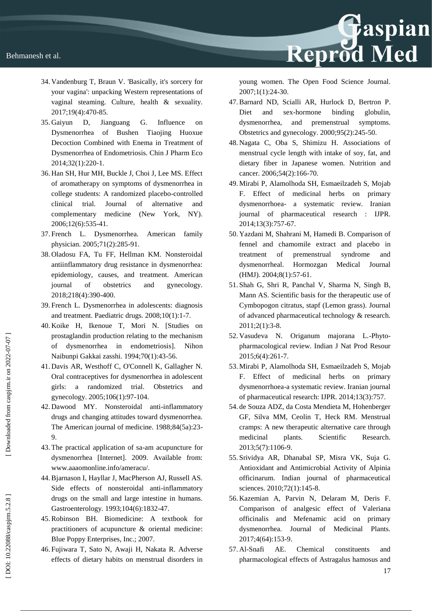

- 34. Vandenburg T, Braun V. 'Basically, it's sorcery for your vagina': unpacking Western representations of vaginal steaming. Culture, health & sexuality. 2017;19(4):470 -85.
- 35. Gaiyun D, Jianguang G. Influence on Dysmenorrhea of Bushen Tiaojing Huoxue Decoction Combined with Enema in Treatment of Dysmenorrhea of Endometriosis. Chin J Pharm Eco 2014;32(1):220 ‐1.
- 36. Han SH, Hur MH, Buckle J, Choi J, Lee MS. Effect of aromatherapy on symptoms of dysmenorrhea in college students: A randomized placebo -controlled clinical trial. Journal of alternative and complementary medicine (New York, NY). 2006;12(6):535 -41.
- 37. French L. Dysmenorrhea. American family physician. 2005;71(2):285 -91.
- 38. Oladosu FA, Tu FF, Hellman KM. Nonsteroidal antiinflammatory drug resistance in dysmenorrhea: epidemiology, causes, and treatment. American journal of obstetrics and gynecology. 2018;218(4):390-400.
- 39. French L. Dysmenorrhea in adolescents: diagnosis and treatment. Paediatric drugs. 2008;10(1):1 -7.
- 40. Koike H, Ikenoue T, Mori N. [Studies on prostaglandin production relating to the mechanism of dysmenorrhea in endometriosis]. Nihon Naibunpi Gakkai zasshi. 1994;70(1):43 -56.
- 41. Davis AR, Westhoff C, O'Connell K, Gallagher N. Oral contraceptives for dysmenorrhea in adolescent girls: a randomized trial. Obstetrics and gynecology. 2005;106(1):97 -104.
- 42. Dawood MY. Nonsteroidal anti -inflammatory drugs and changing attitudes toward dysmenorrhea. The American journal of medicine. 1988;84(5a):23 - 9.
- 43. The practical application of sa -am acupuncture for dysmenorrhea [Internet]. 2009. Available from: www.aaaomonline.info/ameracu/.
- 44.Bjarnason I, Hayllar J, MacPherson AJ, Russell AS. Side effects of nonsteroidal anti -inflammatory drugs on the small and large intestine in humans. Gastroenterology. 1993;104(6):1832 -47.
- 45.Robinson BH. Biomedicine: A textbook for practitioners of acupuncture & oriental medicine: Blue Poppy Enterprises, Inc.; 2007.
- 46. Fujiwara T, Sato N, Awaji H, Nakata R. Adverse effects of dietary habits on menstrual disorders in

young women. The Open Food Science Journal. 2007;1(1):24 -30.

- 47.Barnard ND, Scialli AR, Hurlock D, Bertron P. Diet and sex-hormone binding globulin, dysmenorrhea, and premenstrual symptoms. Obstetrics and gynecology. 2000;95(2):245 -50.
- 48. Nagata C, Oba S, Shimizu H. Associations of menstrual cycle length with intake of soy, fat, and dietary fiber in Japanese women. Nutrition and cancer. 2006;54(2):166 -70.
- 49. Mirabi P, Alamolhoda SH, Esmaeilzadeh S, Mojab F. Effect of medicinal herbs on primary dysmenorrhoea - a systematic review. Iranian journal of pharmaceutical research : IJPR. 2014;13(3):757 -67.
- 50. Yazdani M, Shahrani M, Hamedi B. Comparison of fennel and chamomile extract and placebo in treatment of premenstrual syndrome and dysmenorrheal. Hormozgan Medical Journal (HMJ). 2004;8(1):57 -61.
- 51. Shah G, Shri R, Panchal V, Sharma N, Singh B, Mann AS. Scientific basis for the therapeutic use of Cymbopogon citratus, stapf (Lemon grass). Journal of advanced pharmaceutical technology & research. 2011;2(1):3 -8.
- 52. Vasudeva N. Origanum majorana L. -Phyto pharmacological review. Indian J Nat Prod Resour 2015;6(4):261 -7.
- 53. Mirabi P, Alamolhoda SH, Esmaeilzadeh S, Mojab F. Effect of medicinal herbs on primary dysmenorrhoea -a systematic review. Iranian journal of pharmaceutical research: IJPR. 2014;13(3):757.
- 54. de Souza ADZ, da Costa Mendieta M, Hohenberger GF, Silva MM, Ceolin T, Heck RM. Menstrual cramps: A new therapeutic alternative care through medicinal plants. Scientific Research. 2013;5(7):1106 -9.
- 55. Srividya AR, Dhanabal SP, Misra VK, Suja G. Antioxidant and Antimicrobial Activity of Alpinia officinarum. Indian journal of pharmaceutical sciences. 2010;72(1):145 -8.
- 56. Kazemian A, Parvin N, Delaram M, Deris F. Comparison of analgesic effect of Valeriana officinalis and Mefenamic acid on primary dysmenorrhea. Journal of Medicinal Plants. 2017;4(64):153 -9.
- 57. Al AE. Chemical constituents and pharmacological effects of Astragalus hamosus and